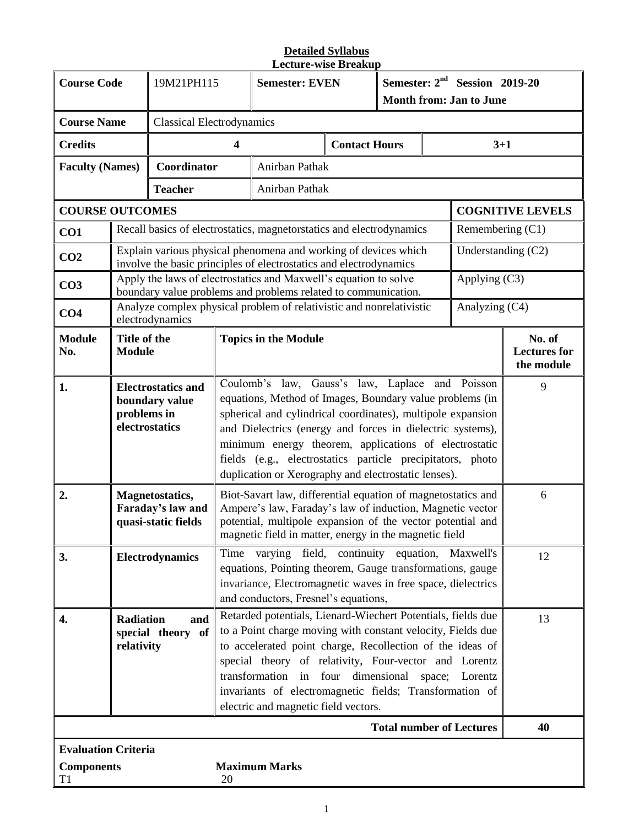| <b>Course Code</b>         |                                                                              | 19M21PH115                                                  | <b>Semester: EVEN</b><br><b>Month from: Jan to June</b>                                                                                                                                                                                                                                                                                                                                                                 |                                                                                                                                       | Semester: $2nd$ Session 2019-20 |  |    |                                 |                                             |
|----------------------------|------------------------------------------------------------------------------|-------------------------------------------------------------|-------------------------------------------------------------------------------------------------------------------------------------------------------------------------------------------------------------------------------------------------------------------------------------------------------------------------------------------------------------------------------------------------------------------------|---------------------------------------------------------------------------------------------------------------------------------------|---------------------------------|--|----|---------------------------------|---------------------------------------------|
| <b>Course Name</b>         |                                                                              | <b>Classical Electrodynamics</b>                            |                                                                                                                                                                                                                                                                                                                                                                                                                         |                                                                                                                                       |                                 |  |    |                                 |                                             |
| <b>Credits</b>             |                                                                              |                                                             | 4                                                                                                                                                                                                                                                                                                                                                                                                                       |                                                                                                                                       | <b>Contact Hours</b>            |  |    | $3 + 1$                         |                                             |
| <b>Faculty (Names)</b>     |                                                                              | Coordinator                                                 |                                                                                                                                                                                                                                                                                                                                                                                                                         | Anirban Pathak                                                                                                                        |                                 |  |    |                                 |                                             |
|                            |                                                                              | <b>Teacher</b>                                              |                                                                                                                                                                                                                                                                                                                                                                                                                         | Anirban Pathak                                                                                                                        |                                 |  |    |                                 |                                             |
| <b>COURSE OUTCOMES</b>     |                                                                              |                                                             |                                                                                                                                                                                                                                                                                                                                                                                                                         |                                                                                                                                       |                                 |  |    |                                 | <b>COGNITIVE LEVELS</b>                     |
| CO1                        |                                                                              |                                                             |                                                                                                                                                                                                                                                                                                                                                                                                                         | Recall basics of electrostatics, magnetorstatics and electrodynamics                                                                  |                                 |  |    | Remembering $(C1)$              |                                             |
| CO <sub>2</sub>            |                                                                              |                                                             |                                                                                                                                                                                                                                                                                                                                                                                                                         | Explain various physical phenomena and working of devices which<br>involve the basic principles of electrostatics and electrodynamics |                                 |  |    | Understanding (C2)              |                                             |
| CO <sub>3</sub>            |                                                                              |                                                             |                                                                                                                                                                                                                                                                                                                                                                                                                         | Apply the laws of electrostatics and Maxwell's equation to solve<br>boundary value problems and problems related to communication.    |                                 |  |    | Applying (C3)                   |                                             |
| CO <sub>4</sub>            |                                                                              | electrodynamics                                             |                                                                                                                                                                                                                                                                                                                                                                                                                         | Analyze complex physical problem of relativistic and nonrelativistic                                                                  |                                 |  |    | Analyzing (C4)                  |                                             |
| <b>Module</b><br>No.       | Title of the<br><b>Module</b>                                                |                                                             | <b>Topics in the Module</b>                                                                                                                                                                                                                                                                                                                                                                                             |                                                                                                                                       |                                 |  |    |                                 | No. of<br><b>Lectures</b> for<br>the module |
| 1.                         | <b>Electrostatics and</b><br>boundary value<br>problems in<br>electrostatics |                                                             | Coulomb's law, Gauss's law, Laplace and Poisson<br>equations, Method of Images, Boundary value problems (in<br>spherical and cylindrical coordinates), multipole expansion<br>and Dielectrics (energy and forces in dielectric systems),<br>minimum energy theorem, applications of electrostatic<br>fields (e.g., electrostatics particle precipitators, photo<br>duplication or Xerography and electrostatic lenses). |                                                                                                                                       |                                 |  |    | 9                               |                                             |
| 2.                         |                                                                              | Magnetostatics,<br>Faraday's law and<br>quasi-static fields | Biot-Savart law, differential equation of magnetostatics and<br>Ampere's law, Faraday's law of induction, Magnetic vector<br>potential, multipole expansion of the vector potential and<br>magnetic field in matter, energy in the magnetic field                                                                                                                                                                       |                                                                                                                                       |                                 |  |    | 6                               |                                             |
| 3.                         |                                                                              | <b>Electrodynamics</b>                                      | varying field, continuity equation, Maxwell's<br>Time<br>equations, Pointing theorem, Gauge transformations, gauge<br>invariance, Electromagnetic waves in free space, dielectrics<br>and conductors, Fresnel's equations,                                                                                                                                                                                              |                                                                                                                                       |                                 |  |    | 12                              |                                             |
| 4.                         | <b>Radiation</b><br>relativity                                               | and<br>special theory<br>of                                 | Retarded potentials, Lienard-Wiechert Potentials, fields due<br>to a Point charge moving with constant velocity, Fields due<br>to accelerated point charge, Recollection of the ideas of<br>special theory of relativity, Four-vector and Lorentz<br>transformation in four dimensional<br>space; Lorentz<br>invariants of electromagnetic fields; Transformation of<br>electric and magnetic field vectors.            |                                                                                                                                       |                                 |  | 13 |                                 |                                             |
|                            |                                                                              |                                                             |                                                                                                                                                                                                                                                                                                                                                                                                                         |                                                                                                                                       |                                 |  |    | <b>Total number of Lectures</b> | 40                                          |
| <b>Evaluation Criteria</b> |                                                                              |                                                             |                                                                                                                                                                                                                                                                                                                                                                                                                         |                                                                                                                                       |                                 |  |    |                                 |                                             |
| <b>Components</b><br>T1    |                                                                              |                                                             | 20                                                                                                                                                                                                                                                                                                                                                                                                                      | <b>Maximum Marks</b>                                                                                                                  |                                 |  |    |                                 |                                             |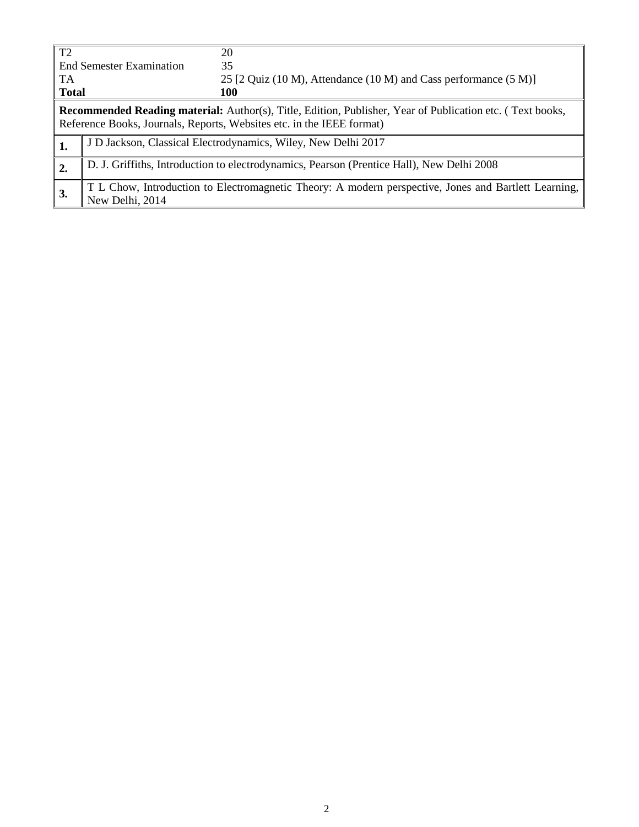| T2           |                                                                                                                                                                                           | 20                                                               |  |  |  |  |  |
|--------------|-------------------------------------------------------------------------------------------------------------------------------------------------------------------------------------------|------------------------------------------------------------------|--|--|--|--|--|
|              | <b>End Semester Examination</b>                                                                                                                                                           | 35                                                               |  |  |  |  |  |
| TA           |                                                                                                                                                                                           | 25 [2 Quiz (10 M), Attendance (10 M) and Cass performance (5 M)] |  |  |  |  |  |
| <b>Total</b> |                                                                                                                                                                                           | <b>100</b>                                                       |  |  |  |  |  |
|              | <b>Recommended Reading material:</b> Author(s), Title, Edition, Publisher, Year of Publication etc. (Text books,<br>Reference Books, Journals, Reports, Websites etc. in the IEEE format) |                                                                  |  |  |  |  |  |
| 1.           | J D Jackson, Classical Electrodynamics, Wiley, New Delhi 2017                                                                                                                             |                                                                  |  |  |  |  |  |
| 2.           | D. J. Griffiths, Introduction to electrodynamics, Pearson (Prentice Hall), New Delhi 2008                                                                                                 |                                                                  |  |  |  |  |  |
| 3.           | T L Chow, Introduction to Electromagnetic Theory: A modern perspective, Jones and Bartlett Learning,<br>New Delhi, 2014                                                                   |                                                                  |  |  |  |  |  |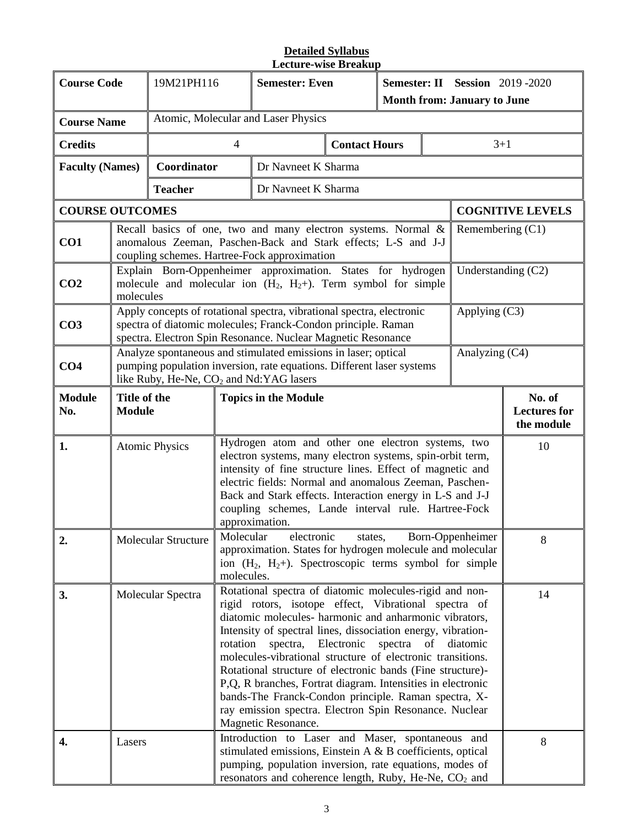| <b>Course Code</b>     |                                                                                                                                                                                                                                                                                                                                                                                                                                                                                                                                                                                                                                                                       | 19M21PH116                          | <b>Semester: Even</b>                                                                                                                                                                          |                                                                                                                                                                                                                                                                                                                                                                             | <b>Semester: II Session 2019 -2020</b> |  |                |                      |                                             |
|------------------------|-----------------------------------------------------------------------------------------------------------------------------------------------------------------------------------------------------------------------------------------------------------------------------------------------------------------------------------------------------------------------------------------------------------------------------------------------------------------------------------------------------------------------------------------------------------------------------------------------------------------------------------------------------------------------|-------------------------------------|------------------------------------------------------------------------------------------------------------------------------------------------------------------------------------------------|-----------------------------------------------------------------------------------------------------------------------------------------------------------------------------------------------------------------------------------------------------------------------------------------------------------------------------------------------------------------------------|----------------------------------------|--|----------------|----------------------|---------------------------------------------|
|                        |                                                                                                                                                                                                                                                                                                                                                                                                                                                                                                                                                                                                                                                                       |                                     | <b>Month from: January to June</b>                                                                                                                                                             |                                                                                                                                                                                                                                                                                                                                                                             |                                        |  |                |                      |                                             |
| <b>Course Name</b>     |                                                                                                                                                                                                                                                                                                                                                                                                                                                                                                                                                                                                                                                                       | Atomic, Molecular and Laser Physics |                                                                                                                                                                                                |                                                                                                                                                                                                                                                                                                                                                                             |                                        |  |                |                      |                                             |
| <b>Credits</b>         |                                                                                                                                                                                                                                                                                                                                                                                                                                                                                                                                                                                                                                                                       |                                     | 4                                                                                                                                                                                              |                                                                                                                                                                                                                                                                                                                                                                             | <b>Contact Hours</b>                   |  |                | $3 + 1$              |                                             |
| <b>Faculty (Names)</b> |                                                                                                                                                                                                                                                                                                                                                                                                                                                                                                                                                                                                                                                                       | Coordinator                         |                                                                                                                                                                                                | Dr Navneet K Sharma                                                                                                                                                                                                                                                                                                                                                         |                                        |  |                |                      |                                             |
|                        |                                                                                                                                                                                                                                                                                                                                                                                                                                                                                                                                                                                                                                                                       | <b>Teacher</b>                      |                                                                                                                                                                                                | Dr Navneet K Sharma                                                                                                                                                                                                                                                                                                                                                         |                                        |  |                |                      |                                             |
| <b>COURSE OUTCOMES</b> |                                                                                                                                                                                                                                                                                                                                                                                                                                                                                                                                                                                                                                                                       |                                     |                                                                                                                                                                                                |                                                                                                                                                                                                                                                                                                                                                                             |                                        |  |                |                      | <b>COGNITIVE LEVELS</b>                     |
| CO <sub>1</sub>        |                                                                                                                                                                                                                                                                                                                                                                                                                                                                                                                                                                                                                                                                       |                                     | Recall basics of one, two and many electron systems. Normal &<br>anomalous Zeeman, Paschen-Back and Stark effects; L-S and J-J<br>coupling schemes. Hartree-Fock approximation                 |                                                                                                                                                                                                                                                                                                                                                                             |                                        |  |                | Remembering (C1)     |                                             |
| CO <sub>2</sub>        | molecules                                                                                                                                                                                                                                                                                                                                                                                                                                                                                                                                                                                                                                                             |                                     | Explain Born-Oppenheimer approximation. States for hydrogen<br>molecule and molecular ion $(H_2, H_2+)$ . Term symbol for simple                                                               |                                                                                                                                                                                                                                                                                                                                                                             |                                        |  |                | Understanding $(C2)$ |                                             |
| CO <sub>3</sub>        |                                                                                                                                                                                                                                                                                                                                                                                                                                                                                                                                                                                                                                                                       |                                     |                                                                                                                                                                                                | Apply concepts of rotational spectra, vibrational spectra, electronic<br>spectra of diatomic molecules; Franck-Condon principle. Raman<br>spectra. Electron Spin Resonance. Nuclear Magnetic Resonance                                                                                                                                                                      |                                        |  |                | Applying $(C3)$      |                                             |
| CO <sub>4</sub>        |                                                                                                                                                                                                                                                                                                                                                                                                                                                                                                                                                                                                                                                                       |                                     | Analyze spontaneous and stimulated emissions in laser; optical<br>pumping population inversion, rate equations. Different laser systems<br>like Ruby, He-Ne, CO <sub>2</sub> and Nd:YAG lasers |                                                                                                                                                                                                                                                                                                                                                                             |                                        |  | Analyzing (C4) |                      |                                             |
| <b>Module</b><br>No.   | Title of the<br><b>Module</b>                                                                                                                                                                                                                                                                                                                                                                                                                                                                                                                                                                                                                                         |                                     |                                                                                                                                                                                                | <b>Topics in the Module</b>                                                                                                                                                                                                                                                                                                                                                 |                                        |  |                |                      | No. of<br><b>Lectures for</b><br>the module |
| 1.                     |                                                                                                                                                                                                                                                                                                                                                                                                                                                                                                                                                                                                                                                                       | <b>Atomic Physics</b>               |                                                                                                                                                                                                | Hydrogen atom and other one electron systems, two<br>electron systems, many electron systems, spin-orbit term,<br>intensity of fine structure lines. Effect of magnetic and<br>electric fields: Normal and anomalous Zeeman, Paschen-<br>Back and Stark effects. Interaction energy in L-S and J-J<br>coupling schemes, Lande interval rule. Hartree-Fock<br>approximation. |                                        |  |                |                      | 10                                          |
| $\overline{2}$         |                                                                                                                                                                                                                                                                                                                                                                                                                                                                                                                                                                                                                                                                       | Molecular Structure                 |                                                                                                                                                                                                | Molecular<br>electronic<br>Born-Oppenheimer<br>states.<br>approximation. States for hydrogen molecule and molecular<br>ion $(H_2, H_2)$ . Spectroscopic terms symbol for simple<br>molecules.                                                                                                                                                                               |                                        |  |                |                      | 8                                           |
| 3.                     | Rotational spectra of diatomic molecules-rigid and non-<br>Molecular Spectra<br>rigid rotors, isotope effect, Vibrational spectra of<br>diatomic molecules- harmonic and anharmonic vibrators,<br>Intensity of spectral lines, dissociation energy, vibration-<br>rotation<br>spectra,<br>Electronic<br>spectra<br>of<br>diatomic<br>molecules-vibrational structure of electronic transitions.<br>Rotational structure of electronic bands (Fine structure)-<br>P,Q, R branches, Fortrat diagram. Intensities in electronic<br>bands-The Franck-Condon principle. Raman spectra, X-<br>ray emission spectra. Electron Spin Resonance. Nuclear<br>Magnetic Resonance. |                                     |                                                                                                                                                                                                |                                                                                                                                                                                                                                                                                                                                                                             | 14                                     |  |                |                      |                                             |
| 4.                     | Lasers                                                                                                                                                                                                                                                                                                                                                                                                                                                                                                                                                                                                                                                                |                                     |                                                                                                                                                                                                | Introduction to Laser and Maser, spontaneous and<br>stimulated emissions, Einstein A & B coefficients, optical<br>pumping, population inversion, rate equations, modes of<br>resonators and coherence length, Ruby, He-Ne, CO <sub>2</sub> and                                                                                                                              |                                        |  |                |                      | 8                                           |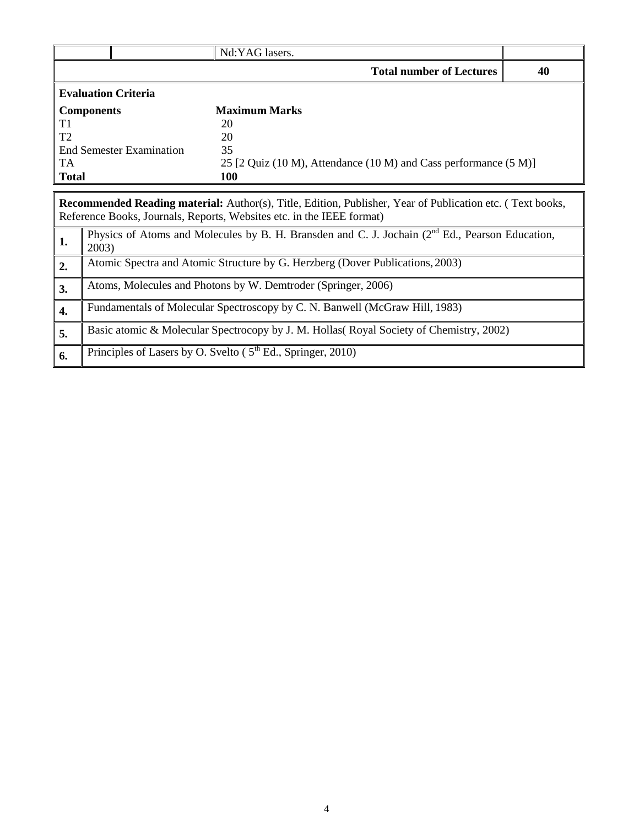|                |                                                                                                                      |                                 | Nd:YAG lasers.                                                                                                                                                                     |    |  |  |  |  |
|----------------|----------------------------------------------------------------------------------------------------------------------|---------------------------------|------------------------------------------------------------------------------------------------------------------------------------------------------------------------------------|----|--|--|--|--|
|                |                                                                                                                      |                                 | <b>Total number of Lectures</b>                                                                                                                                                    | 40 |  |  |  |  |
|                | <b>Evaluation Criteria</b>                                                                                           |                                 |                                                                                                                                                                                    |    |  |  |  |  |
|                | <b>Components</b>                                                                                                    |                                 | <b>Maximum Marks</b>                                                                                                                                                               |    |  |  |  |  |
| T <sub>1</sub> |                                                                                                                      |                                 | 20                                                                                                                                                                                 |    |  |  |  |  |
| T <sub>2</sub> |                                                                                                                      |                                 | 20                                                                                                                                                                                 |    |  |  |  |  |
|                |                                                                                                                      | <b>End Semester Examination</b> | 35                                                                                                                                                                                 |    |  |  |  |  |
| TA             |                                                                                                                      |                                 | 25 [2 Quiz (10 M), Attendance (10 M) and Cass performance (5 M)]                                                                                                                   |    |  |  |  |  |
| <b>Total</b>   |                                                                                                                      |                                 | 100                                                                                                                                                                                |    |  |  |  |  |
|                |                                                                                                                      |                                 |                                                                                                                                                                                    |    |  |  |  |  |
|                |                                                                                                                      |                                 | Recommended Reading material: Author(s), Title, Edition, Publisher, Year of Publication etc. (Text books,<br>Reference Books, Journals, Reports, Websites etc. in the IEEE format) |    |  |  |  |  |
| 1.             | Physics of Atoms and Molecules by B. H. Bransden and C. J. Jochain (2 <sup>nd</sup> Ed., Pearson Education,<br>2003) |                                 |                                                                                                                                                                                    |    |  |  |  |  |
| 2.             |                                                                                                                      |                                 | Atomic Spectra and Atomic Structure by G. Herzberg (Dover Publications, 2003)                                                                                                      |    |  |  |  |  |
| 3.             |                                                                                                                      |                                 | Atoms, Molecules and Photons by W. Demtroder (Springer, 2006)                                                                                                                      |    |  |  |  |  |
| 4.             | Fundamentals of Molecular Spectroscopy by C. N. Banwell (McGraw Hill, 1983)                                          |                                 |                                                                                                                                                                                    |    |  |  |  |  |
| 5.             |                                                                                                                      |                                 | Basic atomic & Molecular Spectrocopy by J. M. Hollas (Royal Society of Chemistry, 2002)                                                                                            |    |  |  |  |  |
| 6.             | Principles of Lasers by O. Svelto (5 <sup>th</sup> Ed., Springer, 2010)                                              |                                 |                                                                                                                                                                                    |    |  |  |  |  |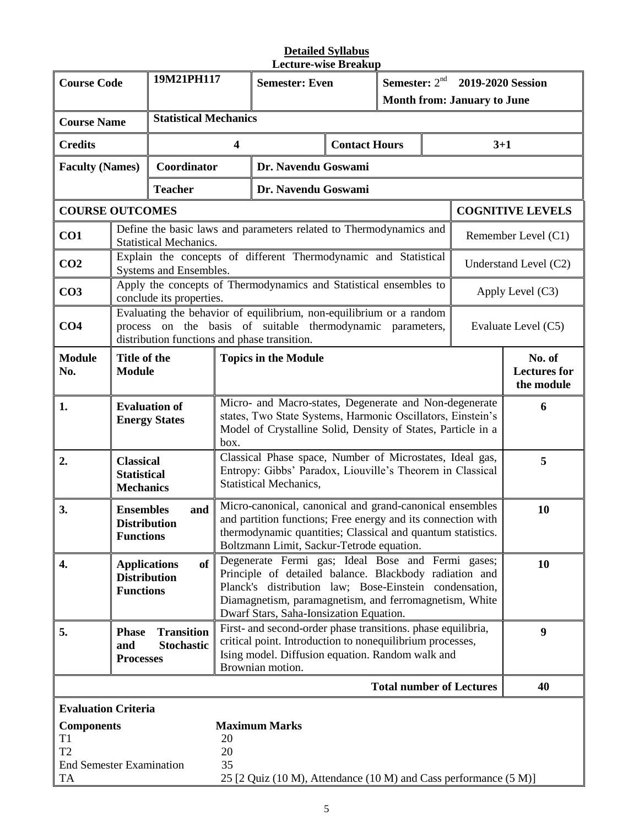|                                                                                                                                                                                                                                                   | <b>Course Code</b>                                             |                                              | 19M21PH117<br><b>Semester: Even</b>                                                                                                                                                                                                                                        |                                                                                                                                                                                       |                      | <b>Semester:</b> $2nd$<br>2019-2020 Session |                                    |                                             |                         |
|---------------------------------------------------------------------------------------------------------------------------------------------------------------------------------------------------------------------------------------------------|----------------------------------------------------------------|----------------------------------------------|----------------------------------------------------------------------------------------------------------------------------------------------------------------------------------------------------------------------------------------------------------------------------|---------------------------------------------------------------------------------------------------------------------------------------------------------------------------------------|----------------------|---------------------------------------------|------------------------------------|---------------------------------------------|-------------------------|
|                                                                                                                                                                                                                                                   |                                                                |                                              |                                                                                                                                                                                                                                                                            |                                                                                                                                                                                       |                      |                                             | <b>Month from: January to June</b> |                                             |                         |
| <b>Course Name</b>                                                                                                                                                                                                                                |                                                                | <b>Statistical Mechanics</b>                 |                                                                                                                                                                                                                                                                            |                                                                                                                                                                                       |                      |                                             |                                    |                                             |                         |
| <b>Credits</b>                                                                                                                                                                                                                                    |                                                                |                                              | $\overline{\mathbf{4}}$                                                                                                                                                                                                                                                    |                                                                                                                                                                                       | <b>Contact Hours</b> |                                             |                                    | $3 + 1$                                     |                         |
| <b>Faculty (Names)</b>                                                                                                                                                                                                                            |                                                                | Coordinator                                  |                                                                                                                                                                                                                                                                            | Dr. Navendu Goswami                                                                                                                                                                   |                      |                                             |                                    |                                             |                         |
|                                                                                                                                                                                                                                                   |                                                                | <b>Teacher</b>                               |                                                                                                                                                                                                                                                                            | Dr. Navendu Goswami                                                                                                                                                                   |                      |                                             |                                    |                                             |                         |
| <b>COURSE OUTCOMES</b>                                                                                                                                                                                                                            |                                                                |                                              |                                                                                                                                                                                                                                                                            |                                                                                                                                                                                       |                      |                                             |                                    |                                             | <b>COGNITIVE LEVELS</b> |
| CO1                                                                                                                                                                                                                                               |                                                                | <b>Statistical Mechanics.</b>                |                                                                                                                                                                                                                                                                            | Define the basic laws and parameters related to Thermodynamics and                                                                                                                    |                      |                                             |                                    |                                             | Remember Level (C1)     |
| CO <sub>2</sub>                                                                                                                                                                                                                                   |                                                                | Systems and Ensembles.                       |                                                                                                                                                                                                                                                                            | Explain the concepts of different Thermodynamic and Statistical                                                                                                                       |                      |                                             |                                    |                                             | Understand Level (C2)   |
| CO <sub>3</sub>                                                                                                                                                                                                                                   |                                                                | conclude its properties.                     |                                                                                                                                                                                                                                                                            | Apply the concepts of Thermodynamics and Statistical ensembles to                                                                                                                     |                      |                                             |                                    |                                             | Apply Level $(C3)$      |
| CO <sub>4</sub>                                                                                                                                                                                                                                   |                                                                | distribution functions and phase transition. |                                                                                                                                                                                                                                                                            | Evaluating the behavior of equilibrium, non-equilibrium or a random<br>process on the basis of suitable thermodynamic parameters,                                                     |                      |                                             |                                    |                                             | Evaluate Level (C5)     |
| <b>Module</b><br>No.                                                                                                                                                                                                                              | Title of the<br><b>Module</b>                                  |                                              | <b>Topics in the Module</b>                                                                                                                                                                                                                                                |                                                                                                                                                                                       |                      |                                             |                                    | No. of<br><b>Lectures</b> for<br>the module |                         |
| 1.                                                                                                                                                                                                                                                |                                                                | <b>Evaluation of</b><br><b>Energy States</b> | box.                                                                                                                                                                                                                                                                       | Micro- and Macro-states, Degenerate and Non-degenerate<br>states, Two State Systems, Harmonic Oscillators, Einstein's<br>Model of Crystalline Solid, Density of States, Particle in a |                      |                                             |                                    |                                             | 6                       |
| 2.                                                                                                                                                                                                                                                | <b>Classical</b><br><b>Statistical</b><br><b>Mechanics</b>     |                                              | Classical Phase space, Number of Microstates, Ideal gas,<br>Entropy: Gibbs' Paradox, Liouville's Theorem in Classical<br>Statistical Mechanics,                                                                                                                            |                                                                                                                                                                                       |                      |                                             |                                    | 5                                           |                         |
| 3.                                                                                                                                                                                                                                                | <b>Ensembles</b><br><b>Distribution</b><br><b>Functions</b>    | and                                          | Micro-canonical, canonical and grand-canonical ensembles<br>and partition functions; Free energy and its connection with<br>thermodynamic quantities; Classical and quantum statistics.<br>Boltzmann Limit, Sackur-Tetrode equation.                                       |                                                                                                                                                                                       |                      |                                             |                                    | 10                                          |                         |
| 4.                                                                                                                                                                                                                                                | <b>Applications</b><br><b>Distribution</b><br><b>Functions</b> | <b>of</b>                                    | Degenerate Fermi gas; Ideal Bose and Fermi gases;<br>Principle of detailed balance. Blackbody radiation and<br>Planck's distribution law; Bose-Einstein condensation,<br>Diamagnetism, paramagnetism, and ferromagnetism, White<br>Dwarf Stars, Saha-Ionsization Equation. |                                                                                                                                                                                       |                      |                                             | 10                                 |                                             |                         |
| 5.                                                                                                                                                                                                                                                | <b>Phase</b><br>and<br><b>Processes</b>                        | <b>Transition</b><br><b>Stochastic</b>       | First- and second-order phase transitions. phase equilibria,<br>critical point. Introduction to nonequilibrium processes,<br>Ising model. Diffusion equation. Random walk and<br>Brownian motion.                                                                          |                                                                                                                                                                                       |                      |                                             |                                    | $\boldsymbol{9}$                            |                         |
|                                                                                                                                                                                                                                                   |                                                                |                                              |                                                                                                                                                                                                                                                                            |                                                                                                                                                                                       |                      |                                             |                                    | <b>Total number of Lectures</b>             | 40                      |
| <b>Evaluation Criteria</b><br><b>Maximum Marks</b><br><b>Components</b><br>T <sub>1</sub><br>20<br>T <sub>2</sub><br>20<br>35<br><b>End Semester Examination</b><br><b>TA</b><br>25 [2 Quiz (10 M), Attendance (10 M) and Cass performance (5 M)] |                                                                |                                              |                                                                                                                                                                                                                                                                            |                                                                                                                                                                                       |                      |                                             |                                    |                                             |                         |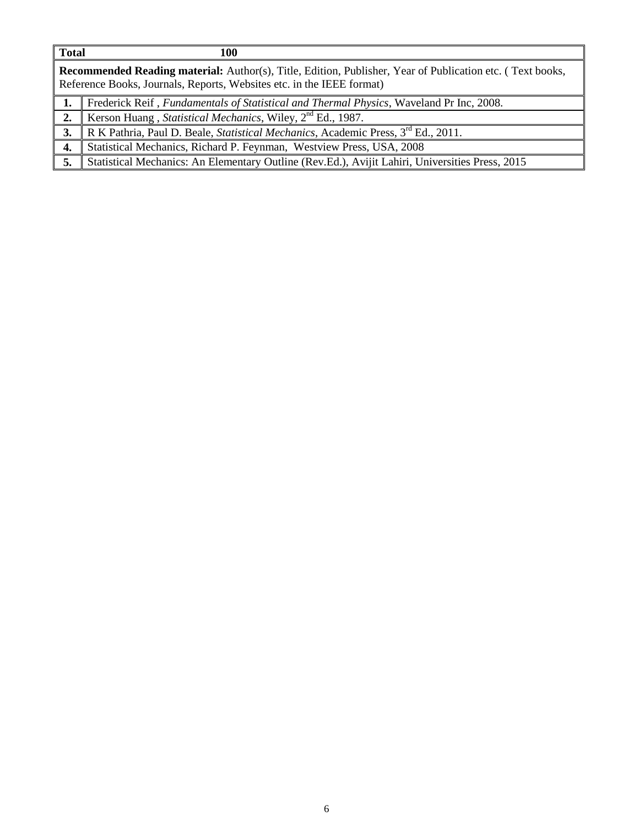| <b>Total</b>                                                                                                                                                                              | 100                                                                                             |  |  |  |  |
|-------------------------------------------------------------------------------------------------------------------------------------------------------------------------------------------|-------------------------------------------------------------------------------------------------|--|--|--|--|
| <b>Recommended Reading material:</b> Author(s), Title, Edition, Publisher, Year of Publication etc. (Text books,<br>Reference Books, Journals, Reports, Websites etc. in the IEEE format) |                                                                                                 |  |  |  |  |
|                                                                                                                                                                                           | Frederick Reif, Fundamentals of Statistical and Thermal Physics, Waveland Pr Inc, 2008.         |  |  |  |  |
| 2.                                                                                                                                                                                        | Kerson Huang, Statistical Mechanics, Wiley, 2 <sup>nd</sup> Ed., 1987.                          |  |  |  |  |
| 3.                                                                                                                                                                                        | R K Pathria, Paul D. Beale, Statistical Mechanics, Academic Press, 3 <sup>rd</sup> Ed., 2011.   |  |  |  |  |
| 4.                                                                                                                                                                                        | Statistical Mechanics, Richard P. Feynman, Westview Press, USA, 2008                            |  |  |  |  |
| 5.                                                                                                                                                                                        | Statistical Mechanics: An Elementary Outline (Rev.Ed.), Avijit Lahiri, Universities Press, 2015 |  |  |  |  |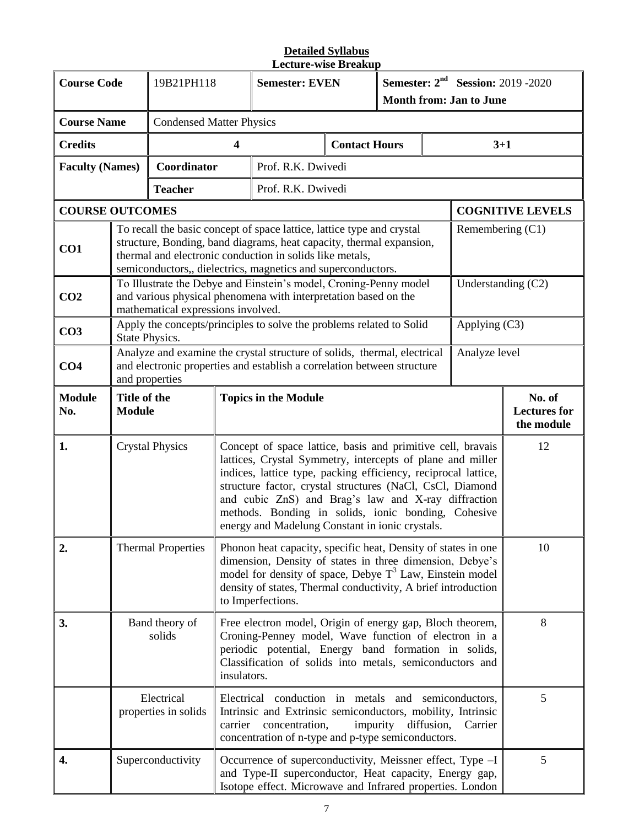| <b>Course Code</b>     |                                    | 19B21PH118                         | <b>Semester: EVEN</b>                                                                                                                                                                                                                                                                                                                                                                                                           |                                                                                                                                                                                                                                                                                                | <b>Semester: <math>2nd</math> Session:</b> 2019 -2020<br><b>Month from: Jan to June</b> |  |  |                 |                                             |  |
|------------------------|------------------------------------|------------------------------------|---------------------------------------------------------------------------------------------------------------------------------------------------------------------------------------------------------------------------------------------------------------------------------------------------------------------------------------------------------------------------------------------------------------------------------|------------------------------------------------------------------------------------------------------------------------------------------------------------------------------------------------------------------------------------------------------------------------------------------------|-----------------------------------------------------------------------------------------|--|--|-----------------|---------------------------------------------|--|
| <b>Course Name</b>     |                                    |                                    | <b>Condensed Matter Physics</b>                                                                                                                                                                                                                                                                                                                                                                                                 |                                                                                                                                                                                                                                                                                                |                                                                                         |  |  |                 |                                             |  |
| <b>Credits</b>         |                                    |                                    | 4                                                                                                                                                                                                                                                                                                                                                                                                                               |                                                                                                                                                                                                                                                                                                | <b>Contact Hours</b>                                                                    |  |  | $3 + 1$         |                                             |  |
| <b>Faculty (Names)</b> |                                    | Coordinator                        |                                                                                                                                                                                                                                                                                                                                                                                                                                 | Prof. R.K. Dwivedi                                                                                                                                                                                                                                                                             |                                                                                         |  |  |                 |                                             |  |
|                        |                                    | <b>Teacher</b>                     |                                                                                                                                                                                                                                                                                                                                                                                                                                 | Prof. R.K. Dwivedi                                                                                                                                                                                                                                                                             |                                                                                         |  |  |                 |                                             |  |
| <b>COURSE OUTCOMES</b> |                                    |                                    |                                                                                                                                                                                                                                                                                                                                                                                                                                 |                                                                                                                                                                                                                                                                                                |                                                                                         |  |  |                 | <b>COGNITIVE LEVELS</b>                     |  |
| CO <sub>1</sub>        |                                    |                                    |                                                                                                                                                                                                                                                                                                                                                                                                                                 | To recall the basic concept of space lattice, lattice type and crystal<br>Remembering (C1)<br>structure, Bonding, band diagrams, heat capacity, thermal expansion,<br>thermal and electronic conduction in solids like metals,<br>semiconductors,, dielectrics, magnetics and superconductors. |                                                                                         |  |  |                 |                                             |  |
| CO <sub>2</sub>        |                                    | mathematical expressions involved. |                                                                                                                                                                                                                                                                                                                                                                                                                                 | To Illustrate the Debye and Einstein's model, Croning-Penny model<br>Understanding $(C2)$<br>and various physical phenomena with interpretation based on the                                                                                                                                   |                                                                                         |  |  |                 |                                             |  |
| CO <sub>3</sub>        |                                    | State Physics.                     |                                                                                                                                                                                                                                                                                                                                                                                                                                 | Apply the concepts/principles to solve the problems related to Solid                                                                                                                                                                                                                           |                                                                                         |  |  | Applying $(C3)$ |                                             |  |
| CO <sub>4</sub>        |                                    | and properties                     |                                                                                                                                                                                                                                                                                                                                                                                                                                 | Analyze and examine the crystal structure of solids, thermal, electrical<br>and electronic properties and establish a correlation between structure                                                                                                                                            |                                                                                         |  |  | Analyze level   |                                             |  |
| <b>Module</b><br>No.   | Title of the<br><b>Module</b>      |                                    |                                                                                                                                                                                                                                                                                                                                                                                                                                 | <b>Topics in the Module</b>                                                                                                                                                                                                                                                                    |                                                                                         |  |  |                 | No. of<br><b>Lectures for</b><br>the module |  |
| 1.                     |                                    | <b>Crystal Physics</b>             | Concept of space lattice, basis and primitive cell, bravais<br>12<br>lattices, Crystal Symmetry, intercepts of plane and miller<br>indices, lattice type, packing efficiency, reciprocal lattice,<br>structure factor, crystal structures (NaCl, CsCl, Diamond<br>and cubic ZnS) and Brag's law and X-ray diffraction<br>methods. Bonding in solids, ionic bonding, Cohesive<br>energy and Madelung Constant in ionic crystals. |                                                                                                                                                                                                                                                                                                |                                                                                         |  |  |                 |                                             |  |
| 2.                     |                                    | <b>Thermal Properties</b>          |                                                                                                                                                                                                                                                                                                                                                                                                                                 | 10<br>Phonon heat capacity, specific heat, Density of states in one<br>dimension, Density of states in three dimension, Debye's<br>model for density of space, Debye $T^3$ Law, Einstein model<br>density of states, Thermal conductivity, A brief introduction<br>to Imperfections.           |                                                                                         |  |  |                 |                                             |  |
| 3.                     | Band theory of<br>solids           |                                    |                                                                                                                                                                                                                                                                                                                                                                                                                                 | Free electron model, Origin of energy gap, Bloch theorem,<br>Croning-Penney model, Wave function of electron in a<br>periodic potential, Energy band formation in solids,<br>Classification of solids into metals, semiconductors and<br>insulators.                                           |                                                                                         |  |  |                 | 8                                           |  |
|                        | Electrical<br>properties in solids |                                    | carrier                                                                                                                                                                                                                                                                                                                                                                                                                         | Electrical conduction in metals and semiconductors,<br>Intrinsic and Extrinsic semiconductors, mobility, Intrinsic<br>concentration,<br>impurity<br>diffusion,<br>Carrier<br>concentration of n-type and p-type semiconductors.                                                                |                                                                                         |  |  |                 | 5                                           |  |
| 4.                     |                                    | Superconductivity                  |                                                                                                                                                                                                                                                                                                                                                                                                                                 | Occurrence of superconductivity, Meissner effect, Type -I<br>and Type-II superconductor, Heat capacity, Energy gap,<br>Isotope effect. Microwave and Infrared properties. London                                                                                                               |                                                                                         |  |  |                 | 5                                           |  |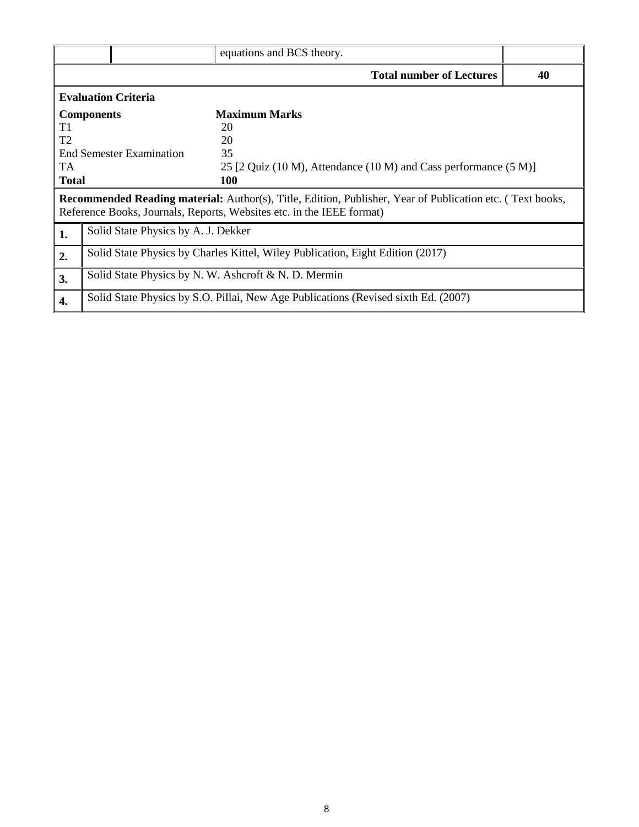|                                 |                                                                                |                                     | equations and BCS theory.                                                                                                                                                                 |  |  |  |  |  |
|---------------------------------|--------------------------------------------------------------------------------|-------------------------------------|-------------------------------------------------------------------------------------------------------------------------------------------------------------------------------------------|--|--|--|--|--|
| <b>Total number of Lectures</b> |                                                                                |                                     |                                                                                                                                                                                           |  |  |  |  |  |
|                                 | <b>Evaluation Criteria</b>                                                     |                                     |                                                                                                                                                                                           |  |  |  |  |  |
|                                 | <b>Components</b>                                                              |                                     | <b>Maximum Marks</b>                                                                                                                                                                      |  |  |  |  |  |
| T1                              |                                                                                |                                     | 20                                                                                                                                                                                        |  |  |  |  |  |
| T <sub>2</sub>                  |                                                                                |                                     | 20                                                                                                                                                                                        |  |  |  |  |  |
|                                 |                                                                                | End Semester Examination            | 35                                                                                                                                                                                        |  |  |  |  |  |
| TA.                             |                                                                                |                                     | 25 [2 Quiz (10 M), Attendance (10 M) and Cass performance $(5 M)$ ]                                                                                                                       |  |  |  |  |  |
| <b>Total</b>                    |                                                                                |                                     | 100                                                                                                                                                                                       |  |  |  |  |  |
|                                 |                                                                                |                                     | <b>Recommended Reading material:</b> Author(s), Title, Edition, Publisher, Year of Publication etc. (Text books,<br>Reference Books, Journals, Reports, Websites etc. in the IEEE format) |  |  |  |  |  |
| 1.                              |                                                                                | Solid State Physics by A. J. Dekker |                                                                                                                                                                                           |  |  |  |  |  |
| 2.                              | Solid State Physics by Charles Kittel, Wiley Publication, Eight Edition (2017) |                                     |                                                                                                                                                                                           |  |  |  |  |  |
| 3.                              |                                                                                |                                     | Solid State Physics by N. W. Ashcroft & N. D. Mermin                                                                                                                                      |  |  |  |  |  |
| 4.                              |                                                                                |                                     | Solid State Physics by S.O. Pillai, New Age Publications (Revised sixth Ed. (2007)                                                                                                        |  |  |  |  |  |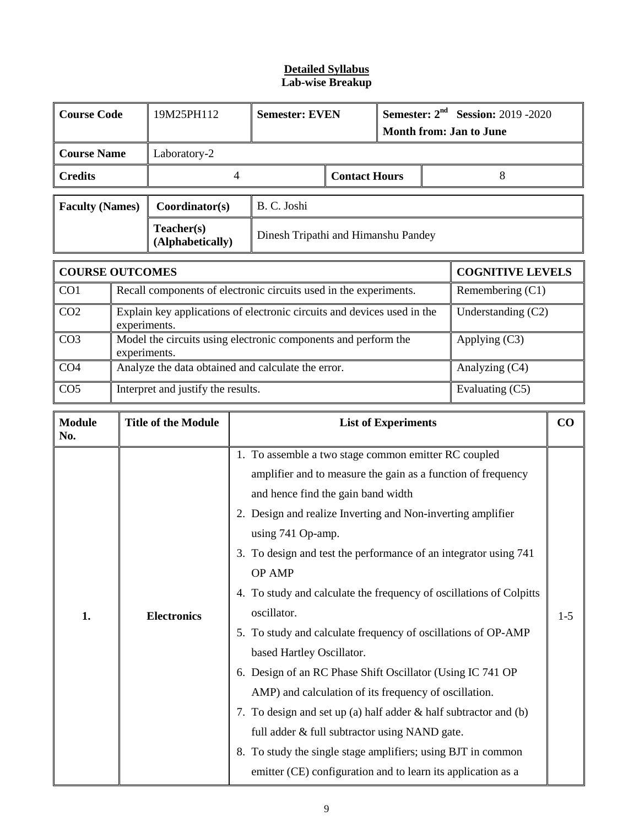## **Detailed Syllabus Lab-wise Breakup**

| <b>Course Code</b>     | 19M25PH112<br><b>Semester: EVEN</b>                                                               |                                                                         |                                     | Semester: $2nd$ Session: 2019 -2020<br><b>Month from: Jan to June</b> |  |                         |
|------------------------|---------------------------------------------------------------------------------------------------|-------------------------------------------------------------------------|-------------------------------------|-----------------------------------------------------------------------|--|-------------------------|
| <b>Course Name</b>     |                                                                                                   | Laboratory-2                                                            |                                     |                                                                       |  |                         |
| <b>Credits</b>         |                                                                                                   | 4                                                                       |                                     | <b>Contact Hours</b>                                                  |  | 8                       |
| <b>Faculty (Names)</b> |                                                                                                   | Coordinator(s)                                                          | B. C. Joshi                         |                                                                       |  |                         |
|                        |                                                                                                   | Teacher(s)<br>(Alphabetically)                                          | Dinesh Tripathi and Himanshu Pandey |                                                                       |  |                         |
| <b>COURSE OUTCOMES</b> |                                                                                                   |                                                                         |                                     |                                                                       |  | <b>COGNITIVE LEVELS</b> |
| CO <sub>1</sub>        |                                                                                                   | Recall components of electronic circuits used in the experiments.       |                                     |                                                                       |  | Remembering $(C1)$      |
| CO <sub>2</sub>        | experiments.                                                                                      | Explain key applications of electronic circuits and devices used in the |                                     |                                                                       |  | Understanding $(C2)$    |
| CO <sub>3</sub>        | Model the circuits using electronic components and perform the<br>Applying $(C3)$<br>experiments. |                                                                         |                                     |                                                                       |  |                         |
| CO <sub>4</sub>        |                                                                                                   | Analyze the data obtained and calculate the error.                      |                                     |                                                                       |  | Analyzing (C4)          |
| CO <sub>5</sub>        |                                                                                                   | Interpret and justify the results.                                      |                                     |                                                                       |  | Evaluating (C5)         |

| <b>Module</b><br>No. | <b>Title of the Module</b> | <b>List of Experiments</b>                                                                                                                                                                                                                                                                                                                                                                                                                                                                                                                                                                                                                                                                                                                                     | $\bf CO$ |
|----------------------|----------------------------|----------------------------------------------------------------------------------------------------------------------------------------------------------------------------------------------------------------------------------------------------------------------------------------------------------------------------------------------------------------------------------------------------------------------------------------------------------------------------------------------------------------------------------------------------------------------------------------------------------------------------------------------------------------------------------------------------------------------------------------------------------------|----------|
| 1.                   | <b>Electronics</b>         | 1. To assemble a two stage common emitter RC coupled<br>amplifier and to measure the gain as a function of frequency<br>and hence find the gain band width<br>2. Design and realize Inverting and Non-inverting amplifier<br>using 741 Op-amp.<br>3. To design and test the performance of an integrator using 741<br>OP AMP<br>4. To study and calculate the frequency of oscillations of Colpitts<br>oscillator.<br>5. To study and calculate frequency of oscillations of OP-AMP<br>based Hartley Oscillator.<br>6. Design of an RC Phase Shift Oscillator (Using IC 741 OP<br>AMP) and calculation of its frequency of oscillation.<br>7. To design and set up (a) half adder $&$ half subtractor and (b)<br>full adder & full subtractor using NAND gate. | $1-5$    |
|                      |                            | 8. To study the single stage amplifiers; using BJT in common<br>emitter (CE) configuration and to learn its application as a                                                                                                                                                                                                                                                                                                                                                                                                                                                                                                                                                                                                                                   |          |